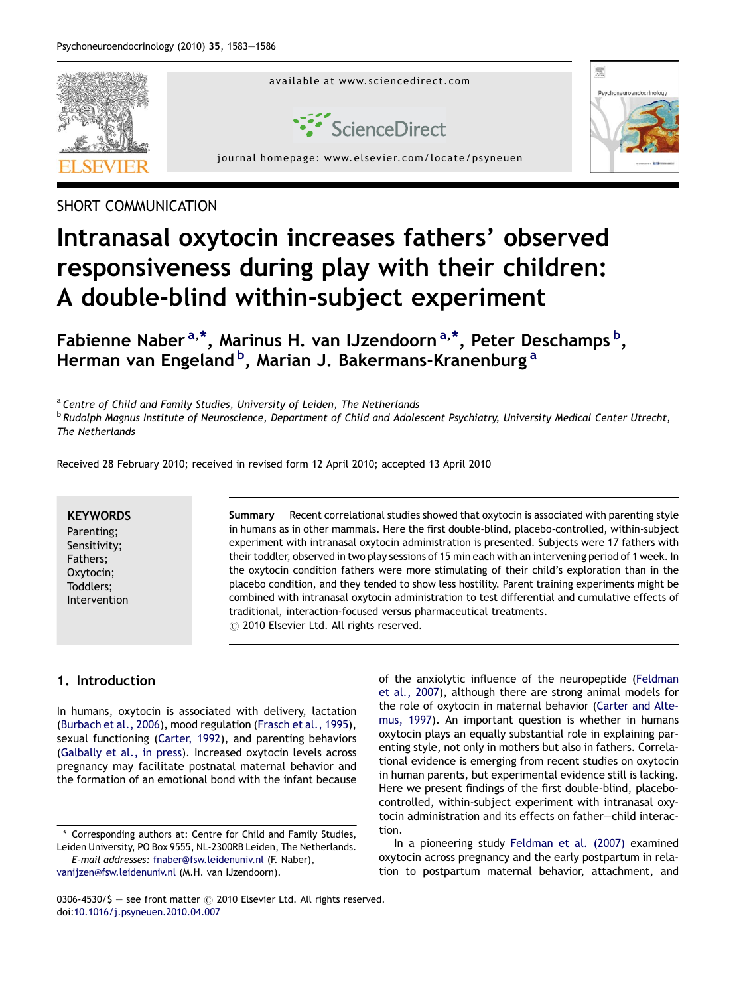

# SHORT COMMUNICATION

# Intranasal oxytocin increases fathers' observed responsiveness during play with their children: A double-blind within-subject experiment

Fabienne Naber<sup>a,\*</sup>, Marinus H. van IJzendoorn<sup>a,\*</sup>, Peter Deschamps <sup>b</sup>, Herman van Engeland <sup>b</sup>, Marian J. Bakermans-Kranenburg <sup>a</sup>

<sup>a</sup> Centre of Child and Family Studies, University of Leiden, The Netherlands **b Rudolph Magnus Institute of Neuroscience, Department of Child and Adolescent Psychiatry, University Medical Center Utrecht,** The Netherlands

Received 28 February 2010; received in revised form 12 April 2010; accepted 13 April 2010

# **KEYWORDS**

Parenting; Sensitivity; Fathers; Oxytocin; Toddlers; Intervention Summary Recent correlational studies showed that oxytocin is associated with parenting style in humans as in other mammals. Here the first double-blind, placebo-controlled, within-subject experiment with intranasal oxytocin administration is presented. Subjects were 17 fathers with their toddler, observed in two play sessions of 15 min each with an intervening period of 1 week. In the oxytocin condition fathers were more stimulating of their child's exploration than in the placebo condition, and they tended to show less hostility. Parent training experiments might be combined with intranasal oxytocin administration to test differential and cumulative effects of traditional, interaction-focused versus pharmaceutical treatments.  $\circled{c}$  2010 Elsevier Ltd. All rights reserved.

# 1. Introduction

In humans, oxytocin is associated with delivery, lactation ([Burbach et al., 2006\)](#page-3-0), mood regulation ([Frasch et al., 1995\)](#page-3-0), sexual functioning [\(Carter, 1992\)](#page-3-0), and parenting behaviors ([Galbally et al., in press](#page-3-0)). Increased oxytocin levels across pregnancy may facilitate postnatal maternal behavior and the formation of an emotional bond with the infant because

\* Corresponding authors at: Centre for Child and Family Studies, Leiden University, PO Box 9555, NL-2300RB Leiden, The Netherlands.

E-mail addresses: [fnaber@fsw.leidenuniv.nl](mailto:fnaber@fsw.leidenuniv.nl) (F. Naber), [vanijzen@fsw.leidenuniv.nl](mailto:vanijzen@fsw.leidenuniv.nl) (M.H. van IJzendoorn).

of the anxiolytic influence of the neuropeptide ([Feldman](#page-3-0) [et al., 2007](#page-3-0)), although there are strong animal models for the role of oxytocin in maternal behavior ([Carter and Alte](#page-3-0)[mus, 1997](#page-3-0)). An important question is whether in humans oxytocin plays an equally substantial role in explaining parenting style, not only in mothers but also in fathers. Correlational evidence is emerging from recent studies on oxytocin in human parents, but experimental evidence still is lacking. Here we present findings of the first double-blind, placebocontrolled, within-subject experiment with intranasal oxytocin administration and its effects on father—child interaction.

In a pioneering study [Feldman et al. \(2007\)](#page-3-0) examined oxytocin across pregnancy and the early postpartum in relation to postpartum maternal behavior, attachment, and

<sup>0306-4530/\$ -</sup> see front matter  $\odot$  2010 Elsevier Ltd. All rights reserved. doi[:10.1016/j.psyneuen.2010.04.007](http://dx.doi.org/10.1016/j.psyneuen.2010.04.007)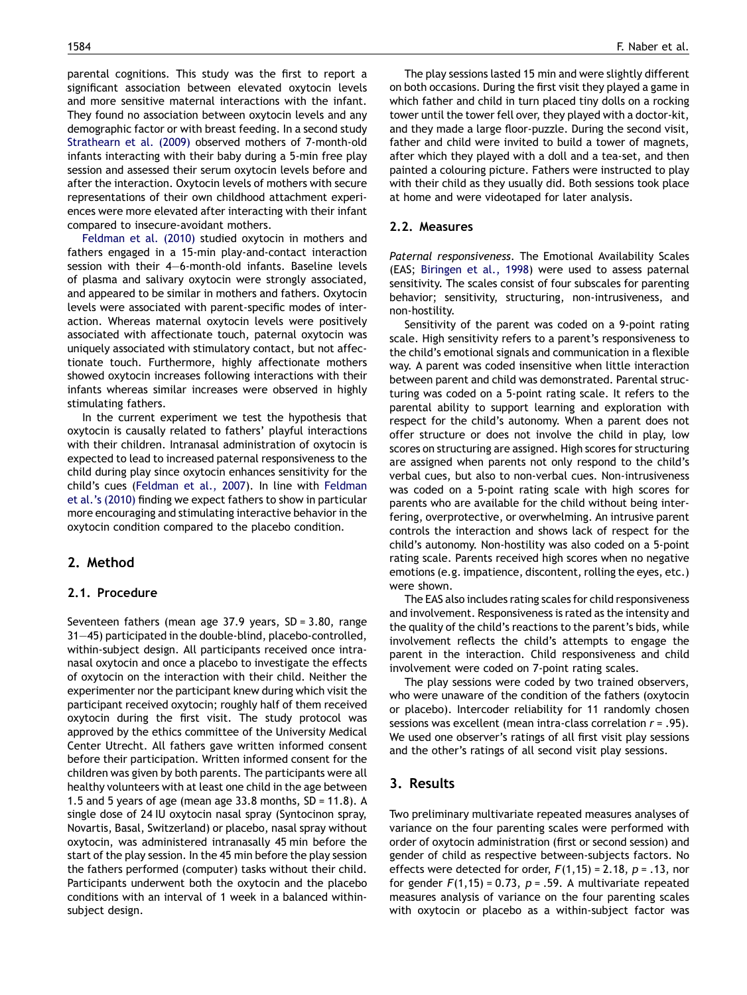parental cognitions. This study was the first to report a significant association between elevated oxytocin levels and more sensitive maternal interactions with the infant. They found no association between oxytocin levels and any demographic factor or with breast feeding. In a second study [Strathearn et al. \(2009\)](#page-3-0) observed mothers of 7-month-old infants interacting with their baby during a 5-min free play session and assessed their serum oxytocin levels before and after the interaction. Oxytocin levels of mothers with secure representations of their own childhood attachment experiences were more elevated after interacting with their infant compared to insecure-avoidant mothers.

[Feldman et al. \(2010\)](#page-3-0) studied oxytocin in mothers and fathers engaged in a 15-min play-and-contact interaction session with their 4—6-month-old infants. Baseline levels of plasma and salivary oxytocin were strongly associated, and appeared to be similar in mothers and fathers. Oxytocin levels were associated with parent-specific modes of interaction. Whereas maternal oxytocin levels were positively associated with affectionate touch, paternal oxytocin was uniquely associated with stimulatory contact, but not affectionate touch. Furthermore, highly affectionate mothers showed oxytocin increases following interactions with their infants whereas similar increases were observed in highly stimulating fathers.

In the current experiment we test the hypothesis that oxytocin is causally related to fathers' playful interactions with their children. Intranasal administration of oxytocin is expected to lead to increased paternal responsiveness to the child during play since oxytocin enhances sensitivity for the child's cues ([Feldman et al., 2007\)](#page-3-0). In line with [Feldman](#page-3-0) [et al.'s \(2010\)](#page-3-0) finding we expect fathers to show in particular more encouraging and stimulating interactive behavior in the oxytocin condition compared to the placebo condition.

# 2. Method

#### 2.1. Procedure

Seventeen fathers (mean age 37.9 years, SD = 3.80, range 31—45) participated in the double-blind, placebo-controlled, within-subject design. All participants received once intranasal oxytocin and once a placebo to investigate the effects of oxytocin on the interaction with their child. Neither the experimenter nor the participant knew during which visit the participant received oxytocin; roughly half of them received oxytocin during the first visit. The study protocol was approved by the ethics committee of the University Medical Center Utrecht. All fathers gave written informed consent before their participation. Written informed consent for the children was given by both parents. The participants were all healthy volunteers with at least one child in the age between 1.5 and 5 years of age (mean age 33.8 months, SD = 11.8). A single dose of 24 IU oxytocin nasal spray (Syntocinon spray, Novartis, Basal, Switzerland) or placebo, nasal spray without oxytocin, was administered intranasally 45 min before the start of the play session. In the 45 min before the play session the fathers performed (computer) tasks without their child. Participants underwent both the oxytocin and the placebo conditions with an interval of 1 week in a balanced withinsubject design.

The play sessions lasted 15 min and were slightly different on both occasions. During the first visit they played a game in which father and child in turn placed tiny dolls on a rocking tower until the tower fell over, they played with a doctor-kit, and they made a large floor-puzzle. During the second visit, father and child were invited to build a tower of magnets, after which they played with a doll and a tea-set, and then painted a colouring picture. Fathers were instructed to play with their child as they usually did. Both sessions took place at home and were videotaped for later analysis.

#### 2.2. Measures

Paternal responsiveness. The Emotional Availability Scales (EAS; [Biringen et al., 1998\)](#page-3-0) were used to assess paternal sensitivity. The scales consist of four subscales for parenting behavior; sensitivity, structuring, non-intrusiveness, and non-hostility.

Sensitivity of the parent was coded on a 9-point rating scale. High sensitivity refers to a parent's responsiveness to the child's emotional signals and communication in a flexible way. A parent was coded insensitive when little interaction between parent and child was demonstrated. Parental structuring was coded on a 5-point rating scale. It refers to the parental ability to support learning and exploration with respect for the child's autonomy. When a parent does not offer structure or does not involve the child in play, low scores on structuring are assigned. High scores for structuring are assigned when parents not only respond to the child's verbal cues, but also to non-verbal cues. Non-intrusiveness was coded on a 5-point rating scale with high scores for parents who are available for the child without being interfering, overprotective, or overwhelming. An intrusive parent controls the interaction and shows lack of respect for the child's autonomy. Non-hostility was also coded on a 5-point rating scale. Parents received high scores when no negative emotions (e.g. impatience, discontent, rolling the eyes, etc.) were shown.

The EAS also includes rating scales for child responsiveness and involvement. Responsiveness is rated as the intensity and the quality of the child's reactions to the parent's bids, while involvement reflects the child's attempts to engage the parent in the interaction. Child responsiveness and child involvement were coded on 7-point rating scales.

The play sessions were coded by two trained observers, who were unaware of the condition of the fathers (oxytocin or placebo). Intercoder reliability for 11 randomly chosen sessions was excellent (mean intra-class correlation  $r = .95$ ). We used one observer's ratings of all first visit play sessions and the other's ratings of all second visit play sessions.

# 3. Results

Two preliminary multivariate repeated measures analyses of variance on the four parenting scales were performed with order of oxytocin administration (first or second session) and gender of child as respective between-subjects factors. No effects were detected for order,  $F(1,15) = 2.18$ ,  $p = .13$ , nor for gender  $F(1,15) = 0.73$ ,  $p = .59$ . A multivariate repeated measures analysis of variance on the four parenting scales with oxytocin or placebo as a within-subject factor was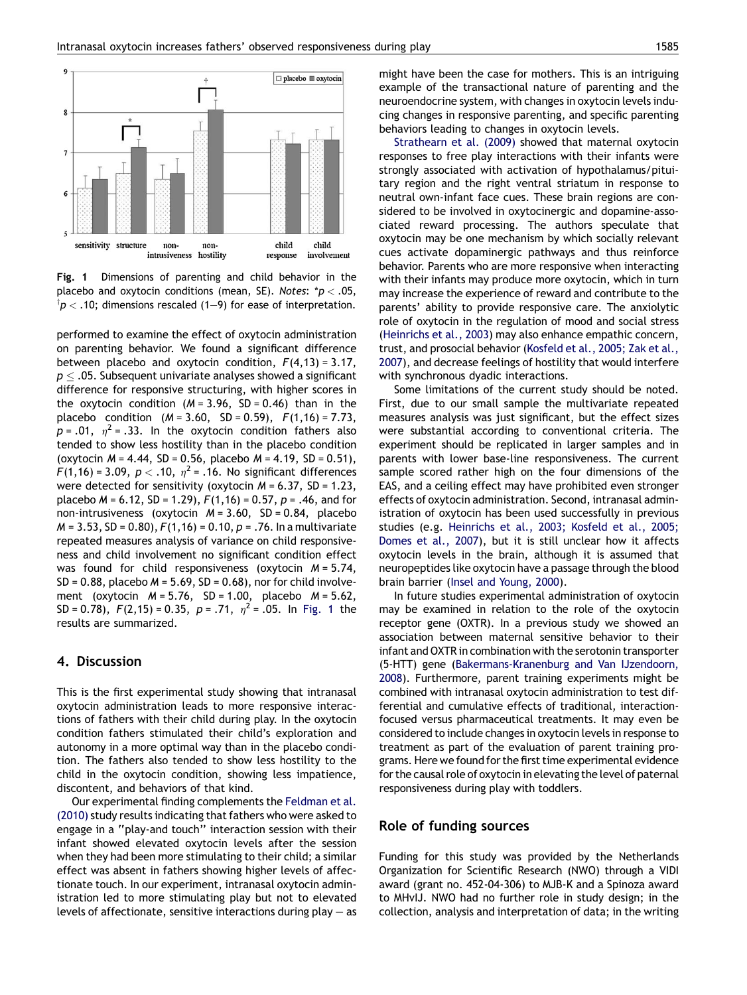

Fig. 1 Dimensions of parenting and child behavior in the placebo and oxytocin conditions (mean, SE). Notes:  $p < .05$ ,  $^\dagger$ p  $<$  .10; dimensions rescaled (1–9) for ease of interpretation.

performed to examine the effect of oxytocin administration on parenting behavior. We found a significant difference between placebo and oxytocin condition,  $F(4,13) = 3.17$ ,  $p \leq .$ 05. Subsequent univariate analyses showed a significant difference for responsive structuring, with higher scores in the oxytocin condition  $(M = 3.96, SD = 0.46)$  than in the placebo condition  $(M = 3.60, SD = 0.59)$ ,  $F(1,16) = 7.73$ ,  $p = .01$ ,  $\eta^2 = .33$ . In the oxytocin condition fathers also tended to show less hostility than in the placebo condition (oxytocin  $M = 4.44$ , SD = 0.56, placebo  $M = 4.19$ , SD = 0.51),  $F(1,16) = 3.09$ ,  $p < .10$ ,  $\eta^2 = .16$ . No significant differences were detected for sensitivity (oxytocin  $M = 6.37$ , SD = 1.23, placebo  $M = 6.12$ , SD = 1.29),  $F(1,16) = 0.57$ ,  $p = .46$ , and for non-intrusiveness (oxytocin  $M = 3.60$ , SD = 0.84, placebo  $M = 3.53$ , SD = 0.80),  $F(1,16) = 0.10$ ,  $p = .76$ . In a multivariate repeated measures analysis of variance on child responsiveness and child involvement no significant condition effect was found for child responsiveness (oxytocin  $M = 5.74$ ,  $SD = 0.88$ , placebo  $M = 5.69$ ,  $SD = 0.68$ ), nor for child involvement (oxytocin  $M = 5.76$ , SD = 1.00, placebo  $M = 5.62$ , SD = 0.78),  $F(2,15) = 0.35$ ,  $p = .71$ ,  $n^2 = .05$ . In Fig. 1 the results are summarized.

## 4. Discussion

This is the first experimental study showing that intranasal oxytocin administration leads to more responsive interactions of fathers with their child during play. In the oxytocin condition fathers stimulated their child's exploration and autonomy in a more optimal way than in the placebo condition. The fathers also tended to show less hostility to the child in the oxytocin condition, showing less impatience, discontent, and behaviors of that kind.

Our experimental finding complements the [Feldman et al.](#page-3-0) [\(2010\)](#page-3-0) study results indicating that fathers who were asked to engage in a ''play-and touch'' interaction session with their infant showed elevated oxytocin levels after the session when they had been more stimulating to their child; a similar effect was absent in fathers showing higher levels of affectionate touch. In our experiment, intranasal oxytocin administration led to more stimulating play but not to elevated levels of affectionate, sensitive interactions during  $play - as$  might have been the case for mothers. This is an intriguing example of the transactional nature of parenting and the neuroendocrine system, with changes in oxytocin levels inducing changes in responsive parenting, and specific parenting behaviors leading to changes in oxytocin levels.

[Strathearn et al. \(2009\)](#page-3-0) showed that maternal oxytocin responses to free play interactions with their infants were strongly associated with activation of hypothalamus/pituitary region and the right ventral striatum in response to neutral own-infant face cues. These brain regions are considered to be involved in oxytocinergic and dopamine-associated reward processing. The authors speculate that oxytocin may be one mechanism by which socially relevant cues activate dopaminergic pathways and thus reinforce behavior. Parents who are more responsive when interacting with their infants may produce more oxytocin, which in turn may increase the experience of reward and contribute to the parents' ability to provide responsive care. The anxiolytic role of oxytocin in the regulation of mood and social stress ([Heinrichs et al., 2003\)](#page-3-0) may also enhance empathic concern, trust, and prosocial behavior [\(Kosfeld et al., 2005; Zak et al.,](#page-3-0) [2007](#page-3-0)), and decrease feelings of hostility that would interfere with synchronous dyadic interactions.

Some limitations of the current study should be noted. First, due to our small sample the multivariate repeated measures analysis was just significant, but the effect sizes were substantial according to conventional criteria. The experiment should be replicated in larger samples and in parents with lower base-line responsiveness. The current sample scored rather high on the four dimensions of the EAS, and a ceiling effect may have prohibited even stronger effects of oxytocin administration. Second, intranasal administration of oxytocin has been used successfully in previous studies (e.g. [Heinrichs et al., 2003; Kosfeld et al., 2005;](#page-3-0) [Domes et al., 2007\)](#page-3-0), but it is still unclear how it affects oxytocin levels in the brain, although it is assumed that neuropeptides like oxytocin have a passage through the blood brain barrier [\(Insel and Young, 2000](#page-3-0)).

In future studies experimental administration of oxytocin may be examined in relation to the role of the oxytocin receptor gene (OXTR). In a previous study we showed an association between maternal sensitive behavior to their infant and OXTR in combination with the serotonin transporter (5-HTT) gene [\(Bakermans-Kranenburg and Van IJzendoorn,](#page-3-0) [2008\)](#page-3-0). Furthermore, parent training experiments might be combined with intranasal oxytocin administration to test differential and cumulative effects of traditional, interactionfocused versus pharmaceutical treatments. It may even be considered to include changes in oxytocin levels in response to treatment as part of the evaluation of parent training programs. Here we found for the first time experimental evidence for the causal role of oxytocin in elevating the level of paternal responsiveness during play with toddlers.

## Role of funding sources

Funding for this study was provided by the Netherlands Organization for Scientific Research (NWO) through a VIDI award (grant no. 452-04-306) to MJB-K and a Spinoza award to MHvIJ. NWO had no further role in study design; in the collection, analysis and interpretation of data; in the writing